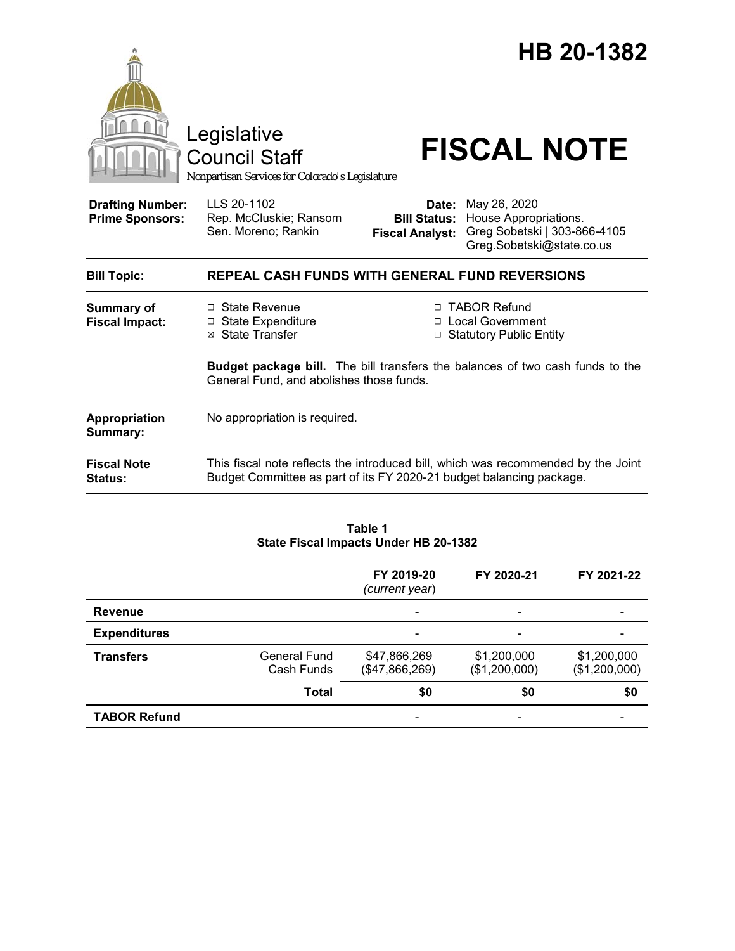

#### **Table 1 State Fiscal Impacts Under HB 20-1382**

|                     |                                   | FY 2019-20<br>(current year)   | FY 2020-21                   | FY 2021-22                   |
|---------------------|-----------------------------------|--------------------------------|------------------------------|------------------------------|
| <b>Revenue</b>      |                                   |                                |                              |                              |
| <b>Expenditures</b> |                                   |                                |                              |                              |
| <b>Transfers</b>    | <b>General Fund</b><br>Cash Funds | \$47,866,269<br>(\$47,866,269) | \$1,200,000<br>(\$1,200,000) | \$1,200,000<br>(\$1,200,000) |
|                     | <b>Total</b>                      | \$0                            | \$0                          | \$0                          |
| <b>TABOR Refund</b> |                                   |                                |                              |                              |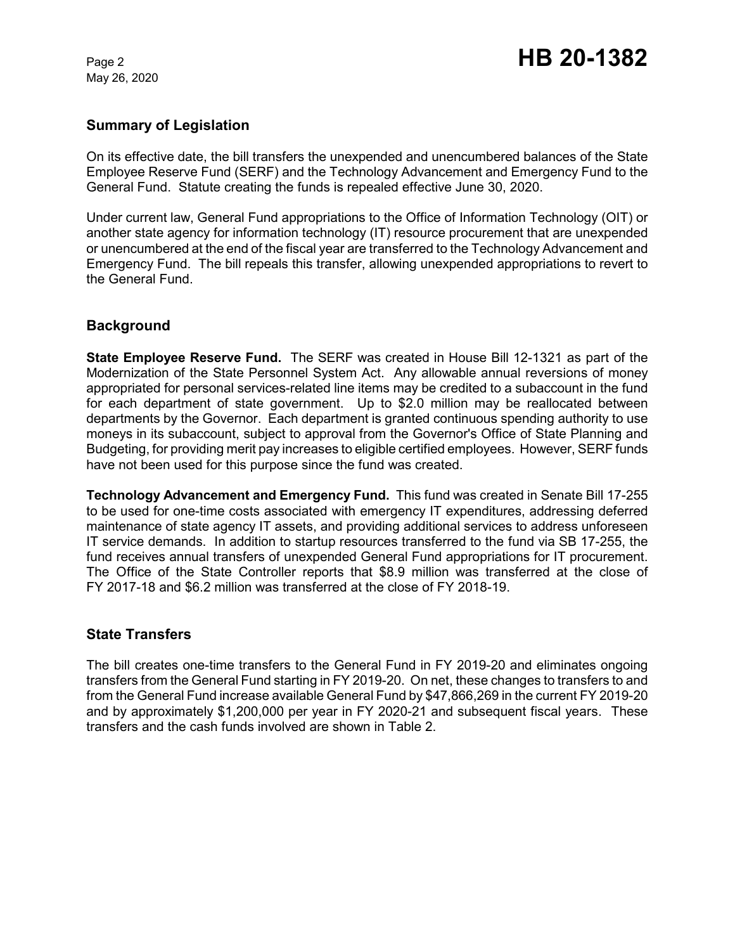May 26, 2020

### **Summary of Legislation**

On its effective date, the bill transfers the unexpended and unencumbered balances of the State Employee Reserve Fund (SERF) and the Technology Advancement and Emergency Fund to the General Fund. Statute creating the funds is repealed effective June 30, 2020.

Under current law, General Fund appropriations to the Office of Information Technology (OIT) or another state agency for information technology (IT) resource procurement that are unexpended or unencumbered at the end of the fiscal year are transferred to the Technology Advancement and Emergency Fund. The bill repeals this transfer, allowing unexpended appropriations to revert to the General Fund.

## **Background**

**State Employee Reserve Fund.** The SERF was created in House Bill 12-1321 as part of the Modernization of the State Personnel System Act. Any allowable annual reversions of money appropriated for personal services-related line items may be credited to a subaccount in the fund for each department of state government. Up to \$2.0 million may be reallocated between departments by the Governor. Each department is granted continuous spending authority to use moneys in its subaccount, subject to approval from the Governor's Office of State Planning and Budgeting, for providing merit pay increases to eligible certified employees. However, SERF funds have not been used for this purpose since the fund was created.

**Technology Advancement and Emergency Fund.** This fund was created in Senate Bill 17-255 to be used for one-time costs associated with emergency IT expenditures, addressing deferred maintenance of state agency IT assets, and providing additional services to address unforeseen IT service demands. In addition to startup resources transferred to the fund via SB 17-255, the fund receives annual transfers of unexpended General Fund appropriations for IT procurement. The Office of the State Controller reports that \$8.9 million was transferred at the close of FY 2017-18 and \$6.2 million was transferred at the close of FY 2018-19.

#### **State Transfers**

The bill creates one-time transfers to the General Fund in FY 2019-20 and eliminates ongoing transfers from the General Fund starting in FY 2019-20. On net, these changes to transfers to and from the General Fund increase available General Fund by \$47,866,269 in the current FY 2019-20 and by approximately \$1,200,000 per year in FY 2020-21 and subsequent fiscal years. These transfers and the cash funds involved are shown in Table 2.